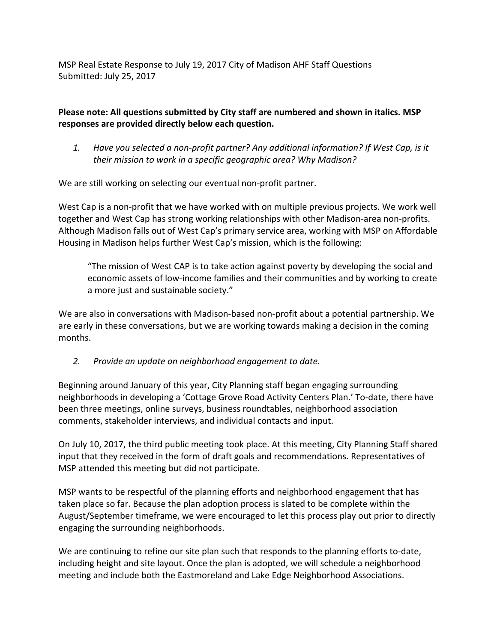MSP Real Estate Response to July 19, 2017 City of Madison AHF Staff Questions Submitted: July 25, 2017

## Please note: All questions submitted by City staff are numbered and shown in italics. MSP **responses are provided directly below each question.**

1. Have you selected a non-profit partner? Any additional information? If West Cap, is it their mission to work in a specific geographic area? Why Madison?

We are still working on selecting our eventual non-profit partner.

West Cap is a non-profit that we have worked with on multiple previous projects. We work well together and West Cap has strong working relationships with other Madison-area non-profits. Although Madison falls out of West Cap's primary service area, working with MSP on Affordable Housing in Madison helps further West Cap's mission, which is the following:

"The mission of West CAP is to take action against poverty by developing the social and economic assets of low-income families and their communities and by working to create a more just and sustainable society."

We are also in conversations with Madison-based non-profit about a potential partnership. We are early in these conversations, but we are working towards making a decision in the coming months.

2. Provide an update on neighborhood engagement to date.

Beginning around January of this year, City Planning staff began engaging surrounding neighborhoods in developing a 'Cottage Grove Road Activity Centers Plan.' To-date, there have been three meetings, online surveys, business roundtables, neighborhood association comments, stakeholder interviews, and individual contacts and input.

On July 10, 2017, the third public meeting took place. At this meeting, City Planning Staff shared input that they received in the form of draft goals and recommendations. Representatives of MSP attended this meeting but did not participate.

MSP wants to be respectful of the planning efforts and neighborhood engagement that has taken place so far. Because the plan adoption process is slated to be complete within the August/September timeframe, we were encouraged to let this process play out prior to directly engaging the surrounding neighborhoods.

We are continuing to refine our site plan such that responds to the planning efforts to-date, including height and site layout. Once the plan is adopted, we will schedule a neighborhood meeting and include both the Eastmoreland and Lake Edge Neighborhood Associations.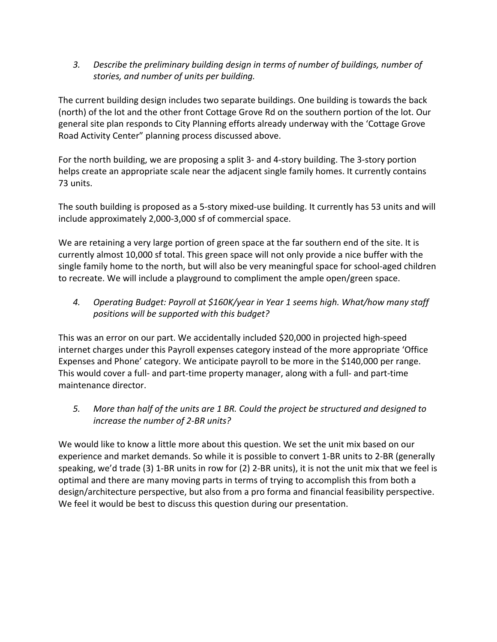3. Describe the preliminary building design in terms of number of buildings, number of *stories, and number of units per building.*

The current building design includes two separate buildings. One building is towards the back (north) of the lot and the other front Cottage Grove Rd on the southern portion of the lot. Our general site plan responds to City Planning efforts already underway with the 'Cottage Grove Road Activity Center" planning process discussed above.

For the north building, we are proposing a split 3- and 4-story building. The 3-story portion helps create an appropriate scale near the adjacent single family homes. It currently contains 73 units.

The south building is proposed as a 5-story mixed-use building. It currently has 53 units and will include approximately 2,000-3,000 sf of commercial space.

We are retaining a very large portion of green space at the far southern end of the site. It is currently almost 10,000 sf total. This green space will not only provide a nice buffer with the single family home to the north, but will also be very meaningful space for school-aged children to recreate. We will include a playground to compliment the ample open/green space.

4. Operating Budget: Payroll at \$160K/year in Year 1 seems high. What/how many staff *positions will be supported with this budget?*

This was an error on our part. We accidentally included \$20,000 in projected high-speed internet charges under this Payroll expenses category instead of the more appropriate 'Office Expenses and Phone' category. We anticipate payroll to be more in the \$140,000 per range. This would cover a full- and part-time property manager, along with a full- and part-time maintenance director.

5. More than half of the units are 1 BR. Could the project be structured and designed to *increase the number of 2-BR units?* 

We would like to know a little more about this question. We set the unit mix based on our experience and market demands. So while it is possible to convert 1-BR units to 2-BR (generally speaking, we'd trade  $(3)$  1-BR units in row for  $(2)$  2-BR units), it is not the unit mix that we feel is optimal and there are many moving parts in terms of trying to accomplish this from both a design/architecture perspective, but also from a pro forma and financial feasibility perspective. We feel it would be best to discuss this question during our presentation.